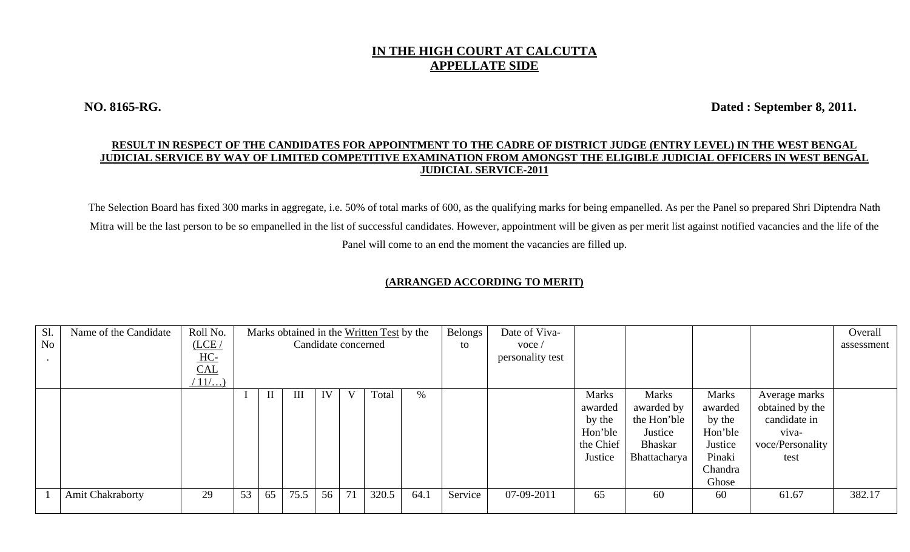## **IN THE HIGH COURT AT CALCUTTA APPELLATE SIDE**

**NO. 8165-RG. Dated : September 8, 2011.** 

## **RESULT IN RESPECT OF THE CANDIDATES FOR APPOINTMENT TO THE CADRE OF DISTRICT JUDGE (ENTRY LEVEL) IN THE WEST BENGAL JUDICIAL SERVICE BY WAY OF LIMITED COMPETITIVE EXAMINATION FROM AMONGST THE ELIGIBLE JUDICIAL OFFICERS IN WEST BENGAL JUDICIAL SERVICE-2011**

The Selection Board has fixed 300 marks in aggregate, i.e. 50% of total marks of 600, as the qualifying marks for being empanelled. As per the Panel so prepared Shri Diptendra Nath Mitra will be the last person to be so empanelled in the list of successful candidates. However, appointment will be given as per merit list against notified vacancies and the life of the Panel will come to an end the moment the vacancies are filled up.

## **(ARRANGED ACCORDING TO MERIT)**

| Sl.            | Name of the Candidate   | Roll No. | Marks obtained in the Written Test by the |              |      |    |    |                     |      | Belongs | Date of Viva-    |              |                |         |                  | Overall    |
|----------------|-------------------------|----------|-------------------------------------------|--------------|------|----|----|---------------------|------|---------|------------------|--------------|----------------|---------|------------------|------------|
| N <sub>o</sub> |                         | (LCE/    |                                           |              |      |    |    | Candidate concerned |      | to      | $\text{voce}$    |              |                |         |                  | assessment |
|                |                         | $HC-$    |                                           |              |      |    |    |                     |      |         | personality test |              |                |         |                  |            |
|                |                         | CAL      |                                           |              |      |    |    |                     |      |         |                  |              |                |         |                  |            |
|                |                         | $11/$    |                                           |              |      |    |    |                     |      |         |                  |              |                |         |                  |            |
|                |                         |          |                                           | $\mathbf{I}$ | III  | IV | V  | Total               | $\%$ |         |                  | <b>Marks</b> | <b>Marks</b>   | Marks   | Average marks    |            |
|                |                         |          |                                           |              |      |    |    |                     |      |         |                  | awarded      | awarded by     | awarded | obtained by the  |            |
|                |                         |          |                                           |              |      |    |    |                     |      |         |                  | by the       | the Hon'ble    | by the  | candidate in     |            |
|                |                         |          |                                           |              |      |    |    |                     |      |         |                  | Hon'ble      | Justice        | Hon'ble | viva-            |            |
|                |                         |          |                                           |              |      |    |    |                     |      |         |                  | the Chief    | <b>Bhaskar</b> | Justice | voce/Personality |            |
|                |                         |          |                                           |              |      |    |    |                     |      |         |                  | Justice      | Bhattacharya   | Pinaki  | test             |            |
|                |                         |          |                                           |              |      |    |    |                     |      |         |                  |              |                | Chandra |                  |            |
|                |                         |          |                                           |              |      |    |    |                     |      |         |                  |              |                | Ghose   |                  |            |
|                | <b>Amit Chakraborty</b> | 29       | 53                                        | 65           | 75.5 | 56 | 71 | 320.5               | 64.1 | Service | 07-09-2011       | 65           | 60             | 60      | 61.67            | 382.17     |
|                |                         |          |                                           |              |      |    |    |                     |      |         |                  |              |                |         |                  |            |